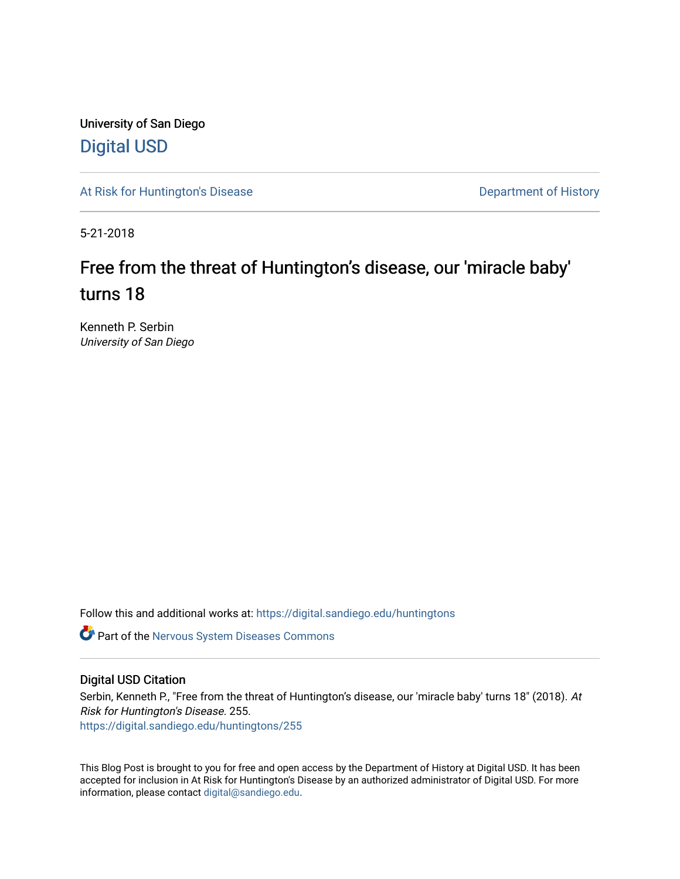University of San Diego [Digital USD](https://digital.sandiego.edu/)

[At Risk for Huntington's Disease](https://digital.sandiego.edu/huntingtons) **Department of History** Department of History

5-21-2018

# Free from the threat of Huntington's disease, our 'miracle baby' turns 18

Kenneth P. Serbin University of San Diego

Follow this and additional works at: [https://digital.sandiego.edu/huntingtons](https://digital.sandiego.edu/huntingtons?utm_source=digital.sandiego.edu%2Fhuntingtons%2F255&utm_medium=PDF&utm_campaign=PDFCoverPages)

**C** Part of the [Nervous System Diseases Commons](http://network.bepress.com/hgg/discipline/928?utm_source=digital.sandiego.edu%2Fhuntingtons%2F255&utm_medium=PDF&utm_campaign=PDFCoverPages)

### Digital USD Citation

Serbin, Kenneth P., "Free from the threat of Huntington's disease, our 'miracle baby' turns 18" (2018). At Risk for Huntington's Disease. 255. [https://digital.sandiego.edu/huntingtons/255](https://digital.sandiego.edu/huntingtons/255?utm_source=digital.sandiego.edu%2Fhuntingtons%2F255&utm_medium=PDF&utm_campaign=PDFCoverPages)

This Blog Post is brought to you for free and open access by the Department of History at Digital USD. It has been accepted for inclusion in At Risk for Huntington's Disease by an authorized administrator of Digital USD. For more information, please contact [digital@sandiego.edu.](mailto:digital@sandiego.edu)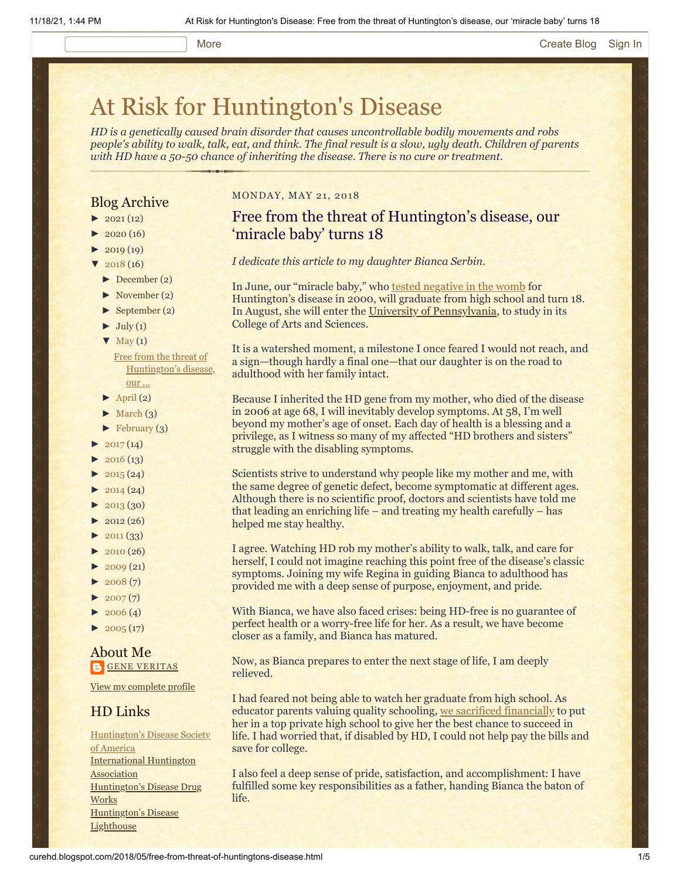# [At Risk for Huntington's Disease](http://curehd.blogspot.com/)

*HD is a genetically caused brain disorder that causes uncontrollable bodily movements and robs people's ability to walk, talk, eat, and think. The final result is a slow, ugly death. Children of parents with HD have a 50-50 chance of inheriting the disease. There is no cure or treatment.*

## Blog Archive

- $\blacktriangleright$  [2021](http://curehd.blogspot.com/2021/) (12)
- $2020(16)$  $2020(16)$
- $2019(19)$  $2019(19)$
- $2018(16)$  $2018(16)$
- [►](javascript:void(0)) [December](http://curehd.blogspot.com/2018/12/) (2)
- [►](javascript:void(0)) [November](http://curehd.blogspot.com/2018/11/) (2)
- [►](javascript:void(0)) [September](http://curehd.blogspot.com/2018/09/) (2)
- $\blacktriangleright$  [July](http://curehd.blogspot.com/2018/07/) (1)
- $\nabla$  [May](http://curehd.blogspot.com/2018/05/)  $(1)$

Free from the threat of [Huntington's](http://curehd.blogspot.com/2018/05/free-from-threat-of-huntingtons-disease.html) disease, our ...

- $\blacktriangleright$  [April](http://curehd.blogspot.com/2018/04/) (2)
- $\blacktriangleright$  [March](http://curehd.blogspot.com/2018/03/) (3)
- $\blacktriangleright$  [February](http://curehd.blogspot.com/2018/02/) (3)
- $2017(14)$  $2017(14)$
- $2016(13)$  $2016(13)$
- $\blacktriangleright$  [2015](http://curehd.blogspot.com/2015/) (24)
- $\blacktriangleright$  [2014](http://curehd.blogspot.com/2014/) (24)
- $\blacktriangleright$  [2013](http://curehd.blogspot.com/2013/) (30)
- $\blacktriangleright$  [2012](http://curehd.blogspot.com/2012/) (26)
- $\blacktriangleright$  [2011](http://curehd.blogspot.com/2011/) (33)
- $\blacktriangleright$  [2010](http://curehd.blogspot.com/2010/) (26)
- $\blacktriangleright$  [2009](http://curehd.blogspot.com/2009/) (21)
- $\blacktriangleright$  [2008](http://curehd.blogspot.com/2008/) $(7)$
- $\blacktriangleright$  [2007](http://curehd.blogspot.com/2007/) $(7)$
- $\blacktriangleright$  [2006](http://curehd.blogspot.com/2006/) (4)
- $\blacktriangleright$  [2005](http://curehd.blogspot.com/2005/) (17)

### About Me **GENE [VERITAS](https://www.blogger.com/profile/10911736205741688185)**

View my [complete](https://www.blogger.com/profile/10911736205741688185) profile

## HD Links

[Huntington's](http://www.hdsa.org/) Disease Society of America [International](http://www.huntington-assoc.com/) Huntington **Association** [Huntington's](http://hddrugworks.org/) Disease Drug **Works** [Huntington's](http://www.hdlighthouse.org/) Disease **Lighthouse** 

#### MONDAY, MAY 21, 2018

# Free from the threat of Huntington's disease, our 'miracle baby' turns 18

*I dedicate this article to my daughter Bianca Serbin*.

In June, our "miracle baby," who [tested negative in the womb](http://curehd.blogspot.com/2006/11/handling-news.html) for Huntington's disease in 2000, will graduate from high school and turn 18. In August, she will enter the [University of Pennsylvania,](https://www.upenn.edu/) to study in its College of Arts and Sciences.

It is a watershed moment, a milestone I once feared I would not reach, and a sign—though hardly a final one—that our daughter is on the road to adulthood with her family intact.

Because I inherited the HD gene from my mother, who died of the disease in 2006 at age 68, I will inevitably develop symptoms. At 58, I'm well beyond my mother's age of onset. Each day of health is a blessing and a privilege, as I witness so many of my affected "HD brothers and sisters" struggle with the disabling symptoms.

Scientists strive to understand why people like my mother and me, with the same degree of genetic defect, become symptomatic at different ages. Although there is no scientific proof, doctors and scientists have told me that leading an enriching life – and treating my health carefully – has helped me stay healthy.

I agree. Watching HD rob my mother's ability to walk, talk, and care for herself, I could not imagine reaching this point free of the disease's classic symptoms. Joining my wife Regina in guiding Bianca to adulthood has provided me with a deep sense of purpose, enjoyment, and pride.

With Bianca, we have also faced crises: being HD-free is no guarantee of perfect health or a worry-free life for her. As a result, we have become closer as a family, and Bianca has matured.

Now, as Bianca prepares to enter the next stage of life, I am deeply relieved.

I had feared not being able to watch her graduate from high school. As educator parents valuing quality schooling, [we sacrificed financially](http://curehd.blogspot.com/2011/10/huntingtons-disease-and-financial.html) to put her in a top private high school to give her the best chance to succeed in life. I had worried that, if disabled by HD, I could not help pay the bills and save for college.

I also feel a deep sense of pride, satisfaction, and accomplishment: I have fulfilled some key responsibilities as a father, handing Bianca the baton of life.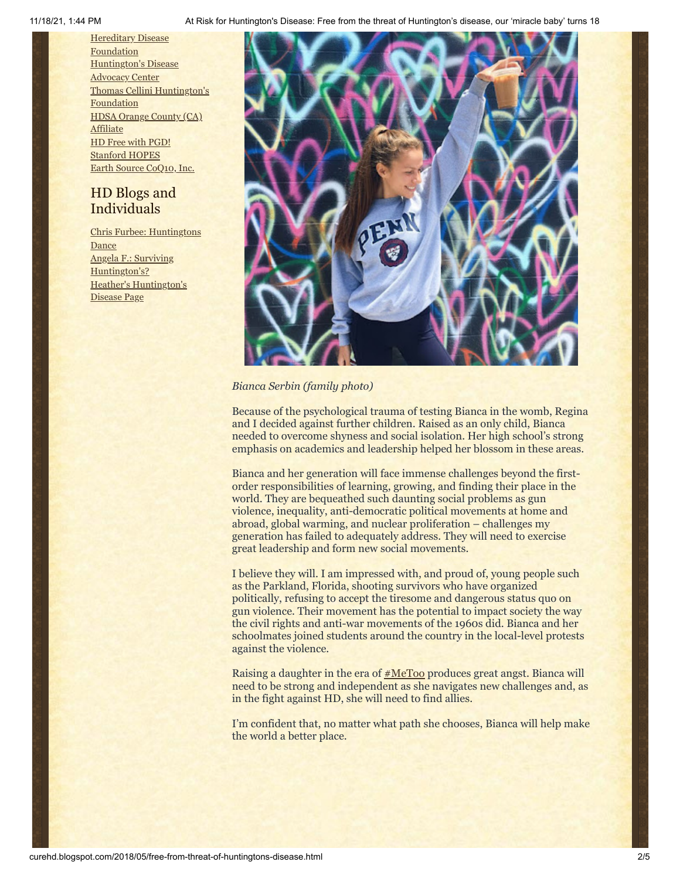11/18/21, 1:44 PM At Risk for Huntington's Disease: Free from the threat of Huntington's disease, our 'miracle baby' turns 18

**Hereditary Disease** [Foundation](http://www.hdfoundation.org/) [Huntington's](http://www.hdac.org/) Disease **Advocacy Center** Thomas [Cellini Huntington's](http://www.ourtchfoundation.org/) **Foundation** HDSA [Orange](http://www.hdsaoc.org/) County (CA) **Affiliate** HD Free with [PGD!](http://www.hdfreewithpgd.com/) [Stanford](http://www.stanford.edu/group/hopes/) HOPES Earth Source [CoQ10,](http://www.escoq10.com/) Inc.

# HD Blogs and Individuals

Chris Furbee: [Huntingtons](http://www.huntingtonsdance.org/) **Dance** Angela F.: Surviving [Huntington's?](http://survivinghuntingtons.blogspot.com/) Heather's [Huntington's](http://heatherdugdale.angelfire.com/) Disease Page



### *Bianca Serbin (family photo)*

Because of the psychological trauma of testing Bianca in the womb, Regina and I decided against further children. Raised as an only child, Bianca needed to overcome shyness and social isolation. Her high school's strong emphasis on academics and leadership helped her blossom in these areas.

Bianca and her generation will face immense challenges beyond the firstorder responsibilities of learning, growing, and finding their place in the world. They are bequeathed such daunting social problems as gun violence, inequality, anti-democratic political movements at home and abroad, global warming, and nuclear proliferation – challenges my generation has failed to adequately address. They will need to exercise great leadership and form new social movements.

I believe they will. I am impressed with, and proud of, young people such as the Parkland, Florida, shooting survivors who have organized politically, refusing to accept the tiresome and dangerous status quo on gun violence. Their movement has the potential to impact society the way the civil rights and anti-war movements of the 1960s did. Bianca and her schoolmates joined students around the country in the local-level protests against the violence.

Raising a daughter in the era of  $#MeToo$  produces great angst. Bianca will need to be strong and independent as she navigates new challenges and, as in the fight against HD, she will need to find allies.

I'm confident that, no matter what path she chooses, Bianca will help make the world a better place.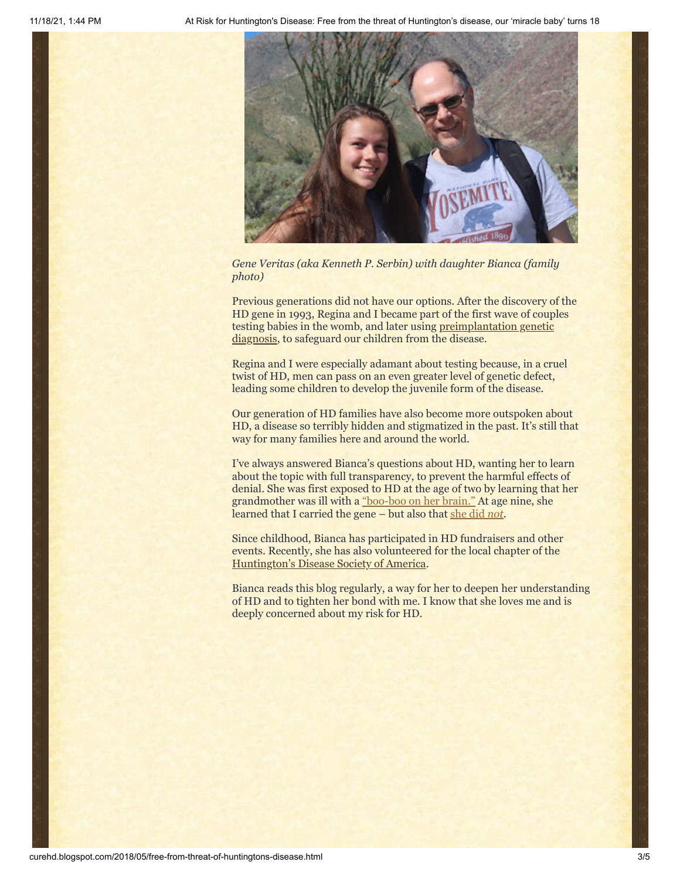

*Gene Veritas (aka Kenneth P. Serbin) with daughter Bianca (family photo)*

Previous generations did not have our options. After the discovery of the HD gene in 1993, Regina and I became part of the first wave of couples [testing babies in the womb, and later using preimplantation genetic](https://vimeo.com/75619566) diagnosis, to safeguard our children from the disease.

Regina and I were especially adamant about testing because, in a cruel twist of HD, men can pass on an even greater level of genetic defect, leading some children to develop the juvenile form of the disease.

Our generation of HD families have also become more outspoken about HD, a disease so terribly hidden and stigmatized in the past. It's still that way for many families here and around the world.

I've always answered Bianca's questions about HD, wanting her to learn about the topic with full transparency, to prevent the harmful effects of denial. She was first exposed to HD at the age of two by learning that her grandmother was ill with a ["boo-boo on her brain."](http://curehd.blogspot.com/2010/01/telling-truth-about-disease.html) At age nine, she learned that I carried the gene – but also that [she did](http://curehd.blogspot.com/2010/05/dad-could-you-get-hd.html) *not*.

Since childhood, Bianca has participated in HD fundraisers and other events. Recently, she has also volunteered for the local chapter of the [Huntington's Disease Society of America.](http://san-diego.hdsa.org/)

Bianca reads this blog regularly, a way for her to deepen her understanding of HD and to tighten her bond with me. I know that she loves me and is deeply concerned about my risk for HD.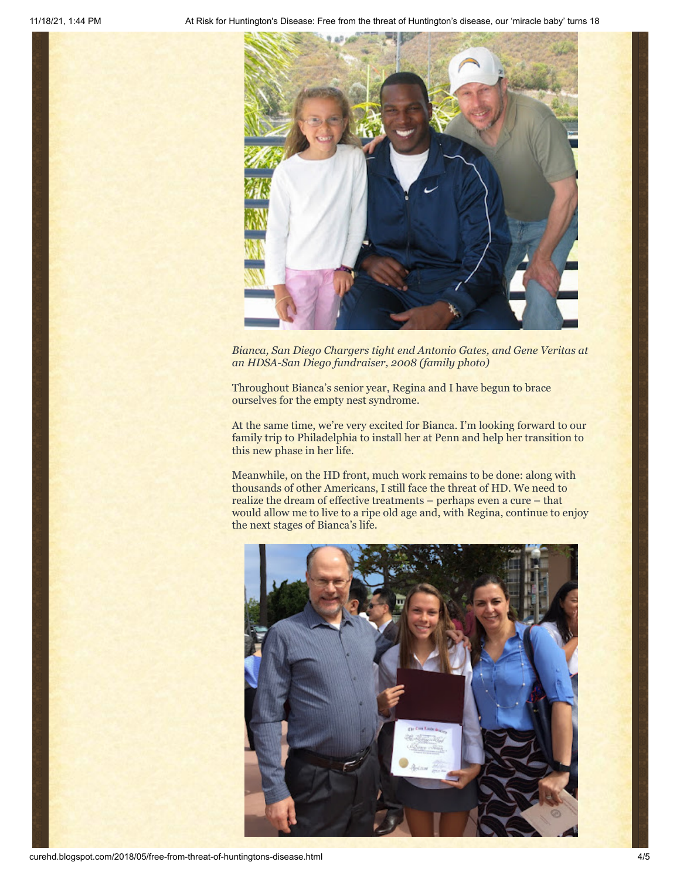

*Bianca, San Diego Chargers tight end Antonio Gates, and Gene Veritas at an HDSA-San Diego fundraiser, 2008 (family photo)*

Throughout Bianca's senior year, Regina and I have begun to brace ourselves for the empty nest syndrome.

At the same time, we're very excited for Bianca. I'm looking forward to our family trip to Philadelphia to install her at Penn and help her transition to this new phase in her life.

Meanwhile, on the HD front, much work remains to be done: along with thousands of other Americans, I still face the threat of HD. We need to realize the dream of effective treatments – perhaps even a cure – that would allow me to live to a ripe old age and, with Regina, continue to enjoy the next stages of Bianca's life.